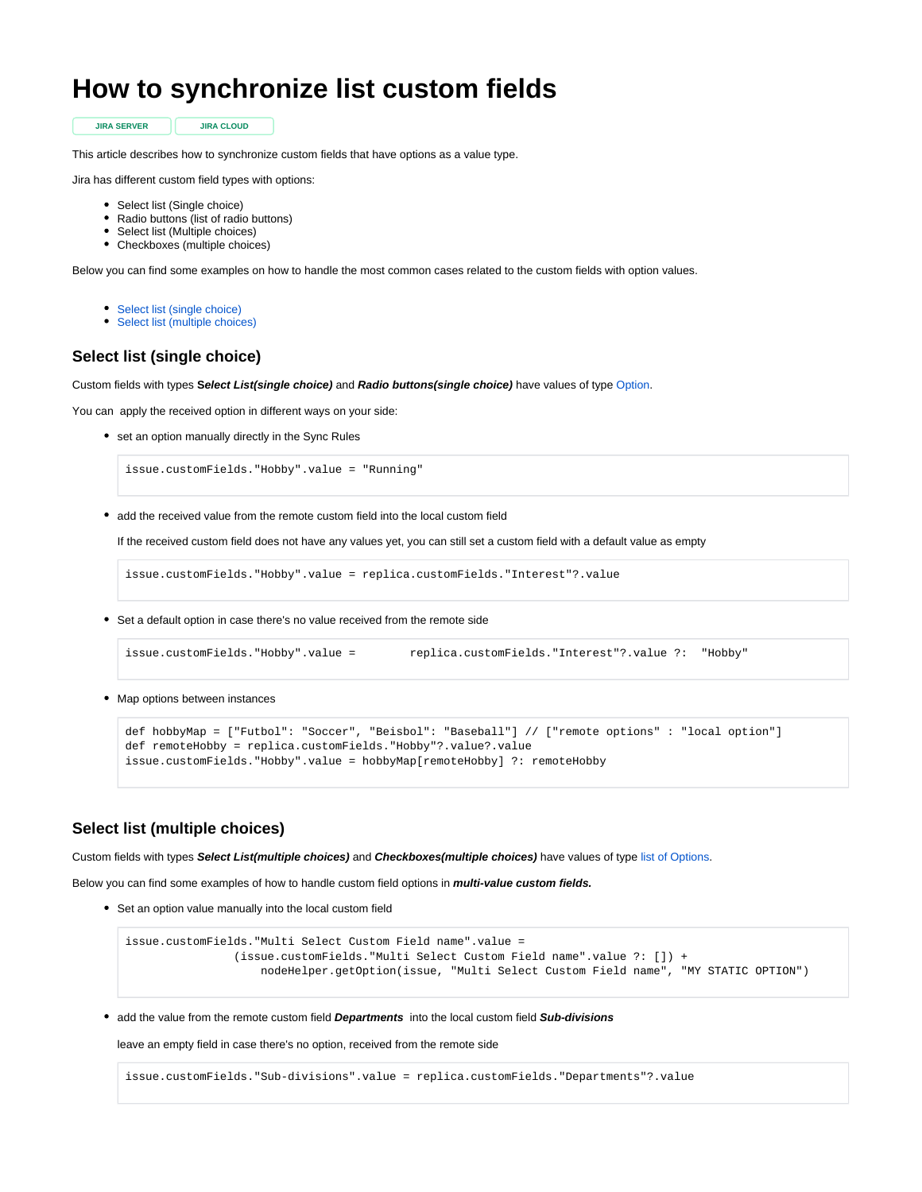## **How to synchronize list custom fields**

**JIRA SERVER JIRA CLOUD**

This article describes how to synchronize custom fields that have options as a value type.

Jira has different custom field types with options:

- Select list (Single choice)
- Radio buttons (list of radio buttons)
- Select list (Multiple choices)
- Checkboxes (multiple choices)

Below you can find some examples on how to handle the most common cases related to the custom fields with option values.

- [Select list \(single choice\)](#page-0-0)
- [Select list \(multiple choices\)](#page-0-1)

## <span id="page-0-0"></span>**Select list (single choice)**

Custom fields with types **Select List(single choice)** and **Radio buttons(single choice)** have values of type [Option.](https://docs.idalko.com/exalate/display/ED/Option)

You can apply the received option in different ways on your side:

• set an option manually directly in the Sync Rules

issue.customFields."Hobby".value = "Running"

add the received value from the remote custom field into the local custom field

If the received custom field does not have any values yet, you can still set a custom field with a default value as empty

issue.customFields."Hobby".value = replica.customFields."Interest"?.value

Set a default option in case there's no value received from the remote side

```
issue.customFields."Hobby".value = replica.customFields."Interest"?.value ?: "Hobby"
```
• Map options between instances

```
def hobbyMap = ["Futbol": "Soccer", "Beisbol": "Baseball"] // ["remote options" : "local option"]
def remoteHobby = replica.customFields."Hobby"?.value?.value
issue.customFields."Hobby".value = hobbyMap[remoteHobby] ?: remoteHobby
```
## <span id="page-0-1"></span>**Select list (multiple choices)**

Custom fields with types **Select List(multiple choices)** and **Checkboxes(multiple choices)** have values of type [list of Options](https://docs.idalko.com/exalate/display/ED/Option).

Below you can find some examples of how to handle custom field options in **multi-value custom fields.** 

• Set an option value manually into the local custom field

```
issue.customFields."Multi Select Custom Field name".value = 
                 (issue.customFields."Multi Select Custom Field name".value ?: []) + 
                     nodeHelper.getOption(issue, "Multi Select Custom Field name", "MY STATIC OPTION")
```
add the value from the remote custom field **Departments** into the local custom field **Sub-divisions**

leave an empty field in case there's no option, received from the remote side

issue.customFields."Sub-divisions".value = replica.customFields."Departments"?.value